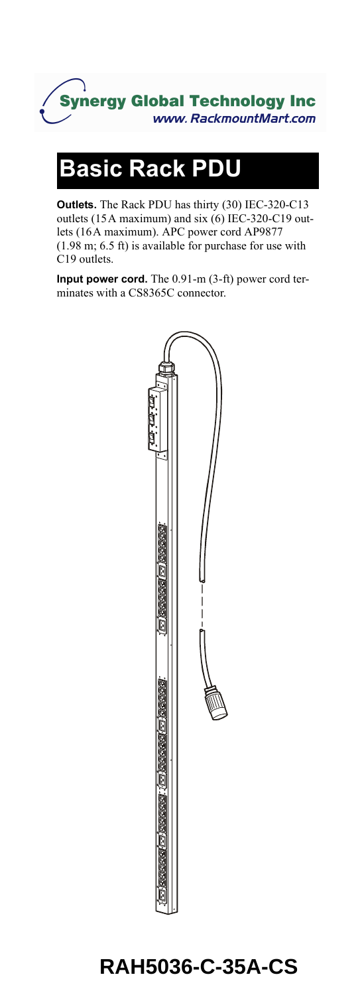

# **Basic Rack PDU**

**Outlets.** The Rack PDU has thirty (30) IEC-320-C13 outlets (15A maximum) and six (6) IEC-320-C19 outlets (16A maximum). APC power cord AP9877 (1.98 m; 6.5 ft) is available for purchase for use with C19 outlets.

**Input power cord.** The 0.91-m (3-ft) power cord terminates with a CS8365C connector.



## **RAH5036-C-35A-CS**